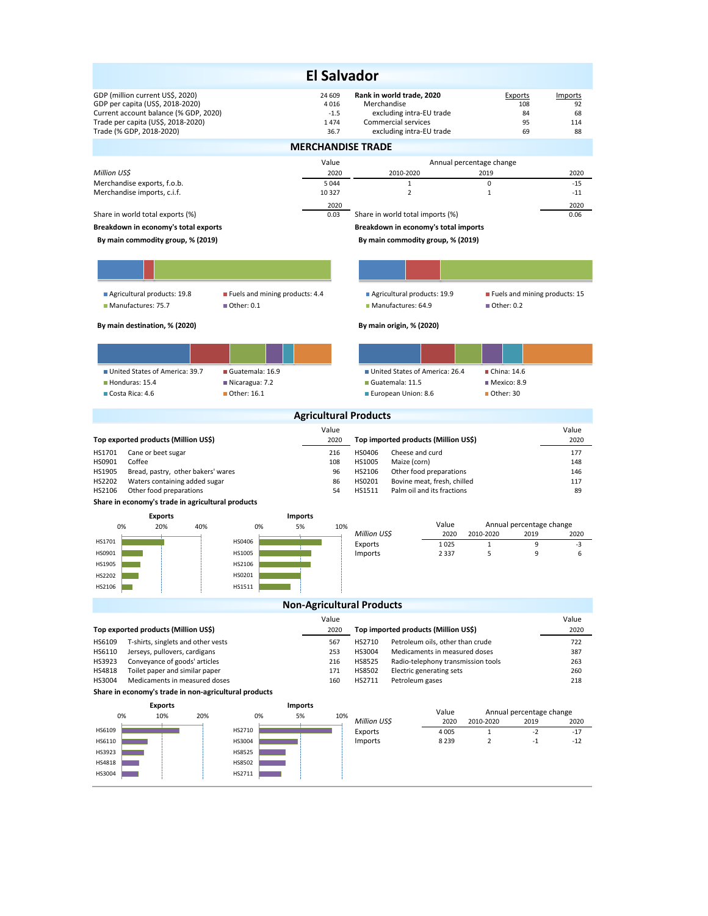| <b>El Salvador</b>                                                                                                                                                              |                                          |                                                                                                                         |                                                |                                  |  |  |  |  |  |  |
|---------------------------------------------------------------------------------------------------------------------------------------------------------------------------------|------------------------------------------|-------------------------------------------------------------------------------------------------------------------------|------------------------------------------------|----------------------------------|--|--|--|--|--|--|
| GDP (million current US\$, 2020)<br>GDP per capita (US\$, 2018-2020)<br>Current account balance (% GDP, 2020)<br>Trade per capita (US\$, 2018-2020)<br>Trade (% GDP, 2018-2020) | 24 609<br>4016<br>$-1.5$<br>1474<br>36.7 | Rank in world trade, 2020<br>Merchandise<br>excluding intra-EU trade<br>Commercial services<br>excluding intra-EU trade | Exports<br>108<br>84<br>95<br>69               | Imports<br>92<br>68<br>114<br>88 |  |  |  |  |  |  |
| <b>MERCHANDISE TRADE</b>                                                                                                                                                        |                                          |                                                                                                                         |                                                |                                  |  |  |  |  |  |  |
|                                                                                                                                                                                 | Value                                    |                                                                                                                         | Annual percentage change                       |                                  |  |  |  |  |  |  |
| Million US\$<br>Merchandise exports, f.o.b.                                                                                                                                     | 2020<br>5 0 4 4                          | 2010-2020<br>$\mathbf{1}$                                                                                               | 2019<br>0                                      | 2020<br>$-15$                    |  |  |  |  |  |  |
| Merchandise imports, c.i.f.                                                                                                                                                     | 10 327                                   | $\overline{2}$                                                                                                          | $\mathbf{1}$                                   | $-11$                            |  |  |  |  |  |  |
| Share in world total exports (%)                                                                                                                                                | 2020<br>0.03                             | Share in world total imports (%)                                                                                        |                                                | 2020<br>0.06                     |  |  |  |  |  |  |
| Breakdown in economy's total exports                                                                                                                                            |                                          | Breakdown in economy's total imports                                                                                    |                                                |                                  |  |  |  |  |  |  |
| By main commodity group, % (2019)                                                                                                                                               |                                          | By main commodity group, % (2019)                                                                                       |                                                |                                  |  |  |  |  |  |  |
|                                                                                                                                                                                 |                                          |                                                                                                                         |                                                |                                  |  |  |  |  |  |  |
|                                                                                                                                                                                 |                                          |                                                                                                                         |                                                |                                  |  |  |  |  |  |  |
| Agricultural products: 19.8<br>■ Fuels and mining products: 4.4<br>Manufactures: 75.7<br>■ Other: 0.1                                                                           |                                          | Agricultural products: 19.9<br>Manufactures: 64.9                                                                       | Fuels and mining products: 15<br>■ Other: 0.2  |                                  |  |  |  |  |  |  |
| By main destination, % (2020)                                                                                                                                                   |                                          | By main origin, % (2020)                                                                                                |                                                |                                  |  |  |  |  |  |  |
|                                                                                                                                                                                 |                                          |                                                                                                                         |                                                |                                  |  |  |  |  |  |  |
|                                                                                                                                                                                 |                                          |                                                                                                                         |                                                |                                  |  |  |  |  |  |  |
| United States of America: 39.7<br>Guatemala: 16.9<br>Honduras: 15.4<br>Nicaragua: 7.2                                                                                           |                                          | United States of America: 26.4<br>Guatemala: 11.5                                                                       | China: 14.6<br>■ Mexico: 8.9                   |                                  |  |  |  |  |  |  |
| Other: 16.1<br>Costa Rica: 4.6                                                                                                                                                  |                                          | European Union: 8.6                                                                                                     | Other: 30                                      |                                  |  |  |  |  |  |  |
|                                                                                                                                                                                 | <b>Agricultural Products</b>             |                                                                                                                         |                                                |                                  |  |  |  |  |  |  |
|                                                                                                                                                                                 | Value                                    |                                                                                                                         |                                                | Value                            |  |  |  |  |  |  |
| Top exported products (Million US\$)<br>HS1701<br>Cane or beet sugar                                                                                                            | 2020<br>216                              | Top imported products (Million US\$)<br>HS0406<br>Cheese and curd                                                       |                                                | 2020<br>177                      |  |  |  |  |  |  |
| HS0901<br>Coffee                                                                                                                                                                | 108                                      | HS1005<br>Maize (corn)                                                                                                  |                                                | 148                              |  |  |  |  |  |  |
| HS1905<br>Bread, pastry, other bakers' wares<br>HS2202<br>Waters containing added sugar                                                                                         | 96<br>86                                 | HS2106<br>Other food preparations<br>HS0201<br>Bovine meat, fresh, chilled                                              |                                                | 146<br>117                       |  |  |  |  |  |  |
| HS2106<br>Other food preparations                                                                                                                                               | 54                                       | HS1511<br>Palm oil and its fractions                                                                                    |                                                | 89                               |  |  |  |  |  |  |
| Share in economy's trade in agricultural products                                                                                                                               |                                          |                                                                                                                         |                                                |                                  |  |  |  |  |  |  |
| <b>Imports</b><br><b>Exports</b><br>0%<br>40%<br>5%<br>20%<br>0%                                                                                                                | 10%                                      | Value                                                                                                                   | Annual percentage change                       |                                  |  |  |  |  |  |  |
| HS1701<br>HS0406                                                                                                                                                                |                                          | Million US\$<br>2020<br>Exports<br>1025                                                                                 | 2010-2020<br>2019<br>$\mathbf{1}$<br>9         | 2020<br>-3                       |  |  |  |  |  |  |
| HS1005<br>HS0901                                                                                                                                                                |                                          | Imports<br>2 3 3 7                                                                                                      | 9<br>5                                         | 6                                |  |  |  |  |  |  |
| HS1905<br>HS2106                                                                                                                                                                |                                          |                                                                                                                         |                                                |                                  |  |  |  |  |  |  |
| HS0201<br>HS2202<br>HS2106<br>HS1511                                                                                                                                            |                                          |                                                                                                                         |                                                |                                  |  |  |  |  |  |  |
| <b>Non-Agricultural Products</b>                                                                                                                                                |                                          |                                                                                                                         |                                                |                                  |  |  |  |  |  |  |
|                                                                                                                                                                                 | Value                                    |                                                                                                                         |                                                | Value                            |  |  |  |  |  |  |
| Top exported products (Million US\$)                                                                                                                                            | 2020                                     | Top imported products (Million US\$)                                                                                    |                                                | 2020                             |  |  |  |  |  |  |
| T-shirts, singlets and other vests<br>HS6109<br>HS6110<br>Jerseys, pullovers, cardigans                                                                                         | 567<br>253                               | Petroleum oils, other than crude<br>HS2710<br>HS3004<br>Medicaments in measured doses                                   |                                                | 722<br>387                       |  |  |  |  |  |  |
| HS3923<br>Conveyance of goods' articles                                                                                                                                         | 216                                      | HS8525<br>Radio-telephony transmission tools                                                                            |                                                | 263                              |  |  |  |  |  |  |
| HS4818<br>Toilet paper and similar paper<br>HS3004<br>Medicaments in measured doses                                                                                             | 171<br>160                               | HS8502<br>Electric generating sets<br>HS2711<br>Petroleum gases                                                         |                                                | 260<br>218                       |  |  |  |  |  |  |
| Share in economy's trade in non-agricultural products                                                                                                                           |                                          |                                                                                                                         |                                                |                                  |  |  |  |  |  |  |
| <b>Exports</b><br><b>Imports</b><br>Value<br>Annual percentage change                                                                                                           |                                          |                                                                                                                         |                                                |                                  |  |  |  |  |  |  |
| 0%<br>5%<br>10%<br>20%<br>0%                                                                                                                                                    | 10%                                      | Million US\$<br>2020                                                                                                    | 2010-2020<br>2019                              | 2020                             |  |  |  |  |  |  |
| HS6109<br>HS2710<br>HS3004<br>HS6110                                                                                                                                            |                                          | Exports<br>4 0 0 5<br>Imports<br>8 2 3 9                                                                                | $\mathbf{1}$<br>$-2$<br>$\overline{2}$<br>$-1$ | $-17$<br>$-12$                   |  |  |  |  |  |  |
| HS3923<br>HS8525                                                                                                                                                                |                                          |                                                                                                                         |                                                |                                  |  |  |  |  |  |  |
| HS4818<br>HS8502                                                                                                                                                                |                                          |                                                                                                                         |                                                |                                  |  |  |  |  |  |  |
| HS3004<br>HS2711                                                                                                                                                                |                                          |                                                                                                                         |                                                |                                  |  |  |  |  |  |  |
|                                                                                                                                                                                 |                                          |                                                                                                                         |                                                |                                  |  |  |  |  |  |  |